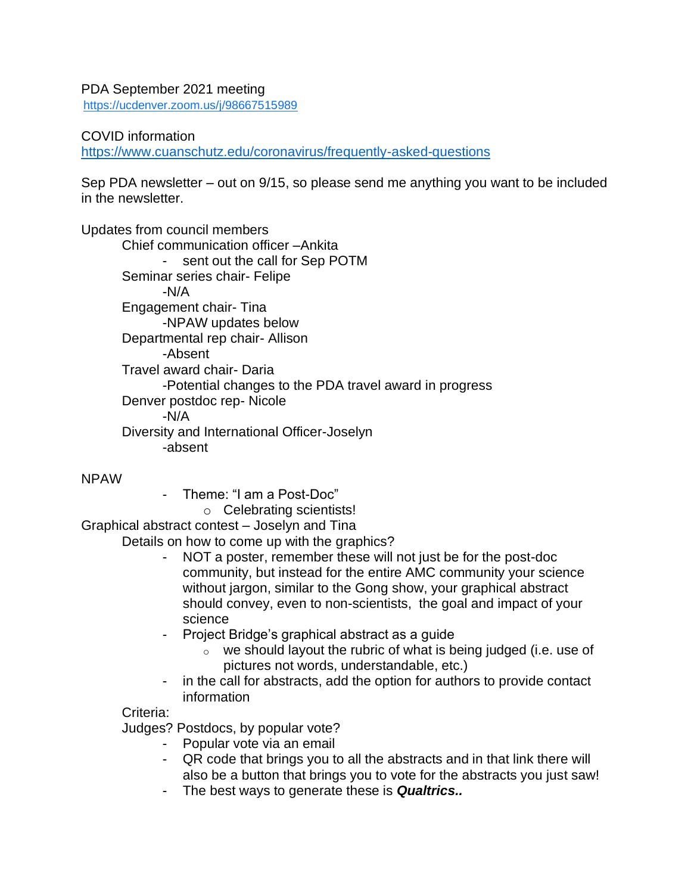## PDA September 2021 meeting

<https://ucdenver.zoom.us/j/98667515989>

## COVID information

<https://www.cuanschutz.edu/coronavirus/frequently-asked-questions>

Sep PDA newsletter – out on 9/15, so please send me anything you want to be included in the newsletter.

Updates from council members

Chief communication officer –Ankita - sent out the call for Sep POTM Seminar series chair- Felipe -N/A Engagement chair- Tina -NPAW updates below Departmental rep chair- Allison -Absent Travel award chair- Daria -Potential changes to the PDA travel award in progress Denver postdoc rep- Nicole -N/A Diversity and International Officer-Joselyn -absent

NPAW

- Theme: "I am a Post-Doc"

o Celebrating scientists!

Graphical abstract contest – Joselyn and Tina

Details on how to come up with the graphics?

- NOT a poster, remember these will not just be for the post-doc community, but instead for the entire AMC community your science without jargon, similar to the Gong show, your graphical abstract should convey, even to non-scientists, the goal and impact of your science
- Project Bridge's graphical abstract as a guide
	- $\circ$  we should layout the rubric of what is being judged (i.e. use of pictures not words, understandable, etc.)
- in the call for abstracts, add the option for authors to provide contact information

## Criteria:

Judges? Postdocs, by popular vote?

- Popular vote via an email
- QR code that brings you to all the abstracts and in that link there will also be a button that brings you to vote for the abstracts you just saw!
- The best ways to generate these is *Qualtrics..*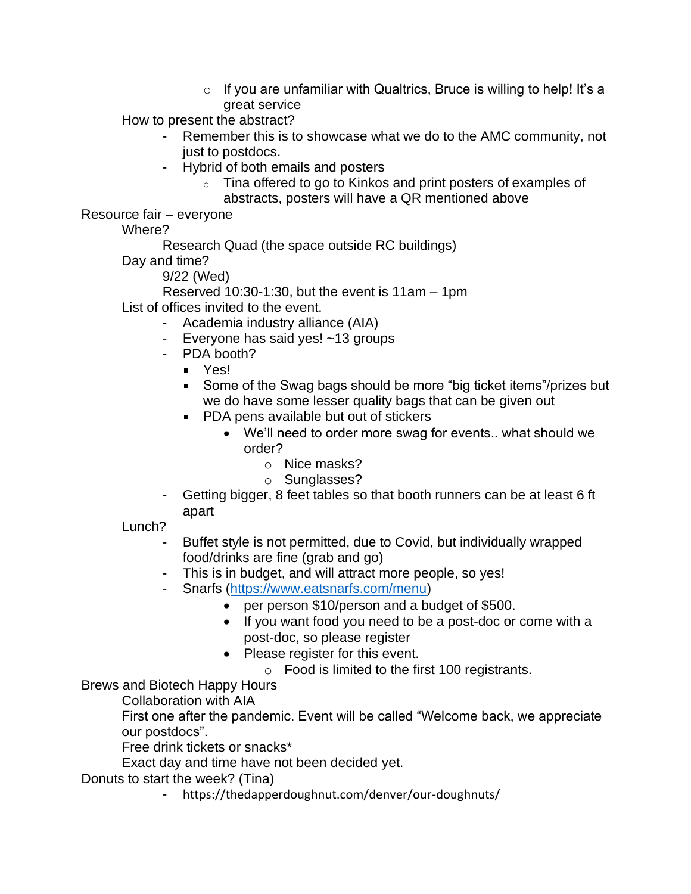$\circ$  If you are unfamiliar with Qualtrics, Bruce is willing to help! It's a great service

How to present the abstract?

- Remember this is to showcase what we do to the AMC community, not just to postdocs.
- Hybrid of both emails and posters
	- o Tina offered to go to Kinkos and print posters of examples of abstracts, posters will have a QR mentioned above

Resource fair – everyone

Where?

Research Quad (the space outside RC buildings)

Day and time?

9/22 (Wed)

Reserved 10:30-1:30, but the event is 11am – 1pm

List of offices invited to the event.

- Academia industry alliance (AIA)
- Everyone has said yes! ~13 groups
- PDA booth?
	- Yes!
	- Some of the Swag bags should be more "big ticket items"/prizes but we do have some lesser quality bags that can be given out
	- **PDA pens available but out of stickers** 
		- We'll need to order more swag for events.. what should we order?
			- o Nice masks?
			- o Sunglasses?
- Getting bigger, 8 feet tables so that booth runners can be at least 6 ft apart

Lunch?

- Buffet style is not permitted, due to Covid, but individually wrapped food/drinks are fine (grab and go)
- This is in budget, and will attract more people, so yes!
- Snarfs [\(https://www.eatsnarfs.com/menu\)](https://www.eatsnarfs.com/menu)
	- per person \$10/person and a budget of \$500.
	- If you want food you need to be a post-doc or come with a post-doc, so please register
	- Please register for this event.
		- o Food is limited to the first 100 registrants.

Brews and Biotech Happy Hours

Collaboration with AIA

First one after the pandemic. Event will be called "Welcome back, we appreciate our postdocs".

Free drink tickets or snacks\*

Exact day and time have not been decided yet.

Donuts to start the week? (Tina)

- https://thedapperdoughnut.com/denver/our-doughnuts/